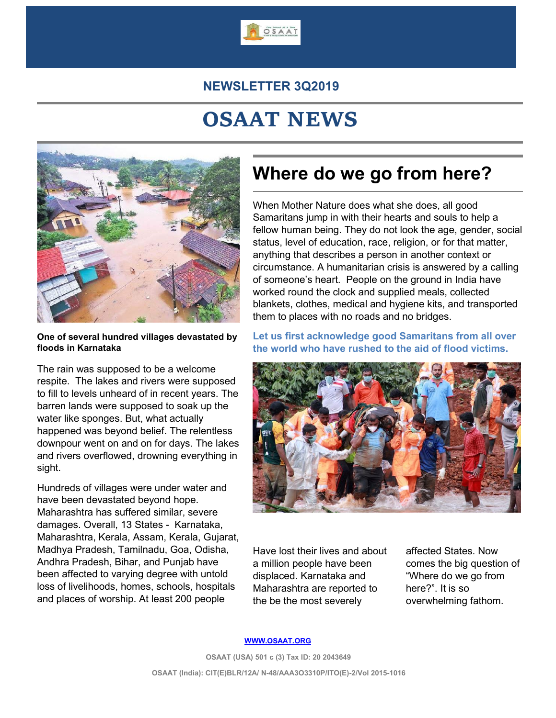

#### **NEWSLETTER 3Q2019**

# **OSAAT NEWS**



**One of several hundred villages devastated by floods in Karnataka**

The rain was supposed to be a welcome respite. The lakes and rivers were supposed to fill to levels unheard of in recent years. The barren lands were supposed to soak up the water like sponges. But, what actually happened was beyond belief. The relentless downpour went on and on for days. The lakes and rivers overflowed, drowning everything in sight.

Hundreds of villages were under water and have been devastated beyond hope. Maharashtra has suffered similar, severe damages. Overall, 13 States - Karnataka, Maharashtra, Kerala, Assam, Kerala, Gujarat, Madhya Pradesh, Tamilnadu, Goa, Odisha, Andhra Pradesh, Bihar, and Punjab have been affected to varying degree with untold loss of livelihoods, homes, schools, hospitals and places of worship. At least 200 people

## **Where do we go from here?**

When Mother Nature does what she does, all good Samaritans jump in with their hearts and souls to help a fellow human being. They do not look the age, gender, social status, level of education, race, religion, or for that matter, anything that describes a person in another context or circumstance. A humanitarian crisis is answered by a calling of someone's heart. People on the ground in India have worked round the clock and supplied meals, collected blankets, clothes, medical and hygiene kits, and transported them to places with no roads and no bridges.

**Let us first acknowledge good Samaritans from all over the world who have rushed to the aid of flood victims.**



Have lost their lives and about a million people have been displaced. Karnataka and Maharashtra are reported to the be the most severely

affected States. Now comes the big question of "Where do we go from here?". It is so overwhelming fathom.

#### **[WWW.OSAAT.ORG](http://www.osaat.org)**

**OSAAT (USA) 501 c (3) Tax ID: 20 2043649 OSAAT (India): CIT(E)BLR/12A/ N-48/AAA3O3310P/ITO(E)-2/Vol 2015-1016**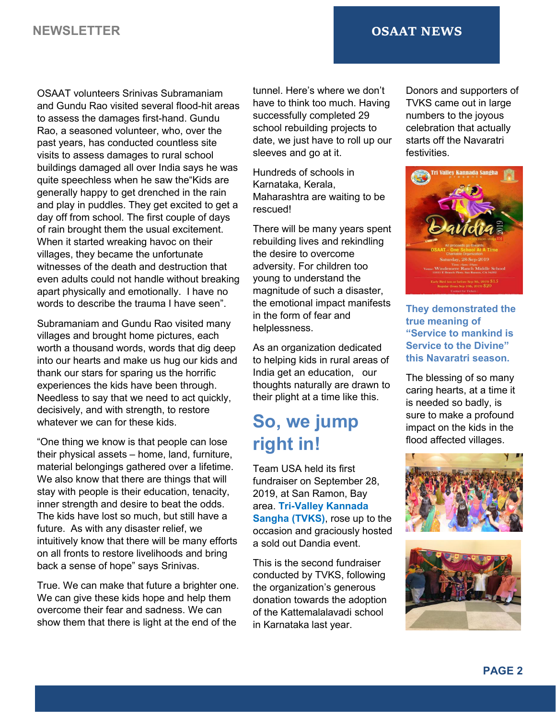#### **NEWSLETTER OSAAT NEWS**

OSAAT volunteers Srinivas Subramaniam and Gundu Rao visited several flood-hit areas to assess the damages first-hand. Gundu Rao, a seasoned volunteer, who, over the past years, has conducted countless site visits to assess damages to rural school buildings damaged all over India says he was quite speechless when he saw the"Kids are generally happy to get drenched in the rain and play in puddles. They get excited to get a day off from school. The first couple of days of rain brought them the usual excitement. When it started wreaking havoc on their villages, they became the unfortunate witnesses of the death and destruction that even adults could not handle without breaking apart physically and emotionally. I have no words to describe the trauma I have seen".

Subramaniam and Gundu Rao visited many villages and brought home pictures, each worth a thousand words, words that dig deep into our hearts and make us hug our kids and thank our stars for sparing us the horrific experiences the kids have been through. Needless to say that we need to act quickly, decisively, and with strength, to restore whatever we can for these kids.

"One thing we know is that people can lose their physical assets – home, land, furniture, material belongings gathered over a lifetime. We also know that there are things that will stay with people is their education, tenacity, inner strength and desire to beat the odds. The kids have lost so much, but still have a future. As with any disaster relief, we intuitively know that there will be many efforts on all fronts to restore livelihoods and bring back a sense of hope" says Srinivas.

True. We can make that future a brighter one. We can give these kids hope and help them overcome their fear and sadness. We can show them that there is light at the end of the

tunnel. Here's where we don't have to think too much. Having successfully completed 29 school rebuilding projects to date, we just have to roll up our sleeves and go at it.

Hundreds of schools in Karnataka, Kerala, Maharashtra are waiting to be rescued!

There will be many years spent rebuilding lives and rekindling the desire to overcome adversity. For children too young to understand the magnitude of such a disaster, the emotional impact manifests in the form of fear and helplessness.

As an organization dedicated to helping kids in rural areas of India get an education, our thoughts naturally are drawn to their plight at a time like this.

## **So, we jump right in!**

Team USA held its first fundraiser on September 28, 2019, at San Ramon, Bay area. **Tri-Valley Kannada Sangha (TVKS)**, rose up to the occasion and graciously hosted a sold out Dandia event.

This is the second fundraiser conducted by TVKS, following the organization's generous donation towards the adoption of the Kattemalalavadi school in Karnataka last year.

Donors and supporters of TVKS came out in large numbers to the joyous celebration that actually starts off the Navaratri festivities.



**They demonstrated the true meaning of "Service to mankind is Service to the Divine" this Navaratri season.**

The blessing of so many caring hearts, at a time it is needed so badly, is sure to make a profound impact on the kids in the flood affected villages.



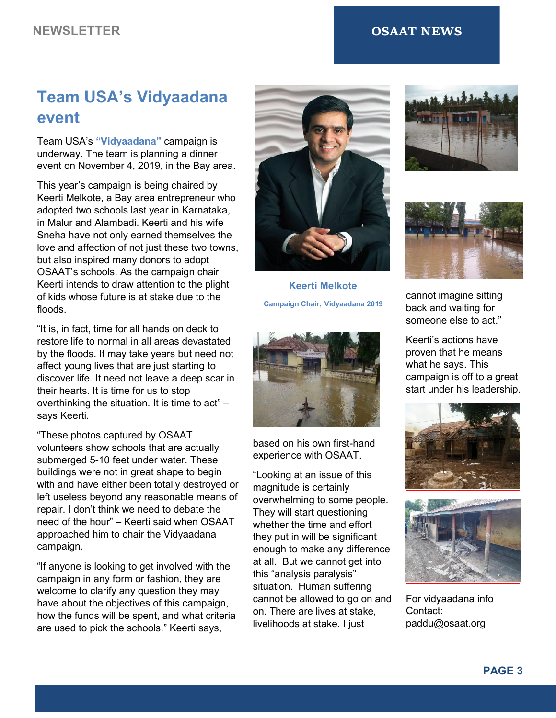#### **NEWSLETTER OSAAT NEWS**

## **Team USA's Vidyaadana event**

Team USA's **"Vidyaadana"** campaign is underway. The team is planning a dinner event on November 4, 2019, in the Bay area.

This year's campaign is being chaired by Keerti Melkote, a Bay area entrepreneur who adopted two schools last year in Karnataka, in Malur and Alambadi. Keerti and his wife Sneha have not only earned themselves the love and affection of not just these two towns, but also inspired many donors to adopt OSAAT's schools. As the campaign chair Keerti intends to draw attention to the plight of kids whose future is at stake due to the floods.

"It is, in fact, time for all hands on deck to restore life to normal in all areas devastated by the floods. It may take years but need not affect young lives that are just starting to discover life. It need not leave a deep scar in their hearts. It is time for us to stop overthinking the situation. It is time to act" – says Keerti.

"These photos captured by OSAAT volunteers show schools that are actually submerged 5-10 feet under water. These buildings were not in great shape to begin with and have either been totally destroyed or left useless beyond any reasonable means of repair. I don't think we need to debate the need of the hour" – Keerti said when OSAAT approached him to chair the Vidyaadana campaign.

"If anyone islooking to get involved with the campaign in any form or fashion, they are welcome to clarify any question they may have about the objectives of this campaign, how the funds will be spent, and what criteria are used to pick the schools." Keerti says,



**Keerti Melkote Campaign Chair, Vidyaadana 2019**



based on his own first-hand experience with OSAAT.

"Looking at an issue of this magnitude is certainly overwhelming to some people. They will start questioning whether the time and effort they put in will be significant enough to make any difference at all. But we cannot get into this "analysis paralysis" situation. Human suffering cannot be allowed to go on and on. There are lives at stake, livelihoods at stake. I just





cannot imagine sitting back and waiting for someone else to act."

Keerti's actions have proven that he means what he says. This campaign is off to a great start under his leadership.





For vidyaadana info Contact: paddu@osaat.org